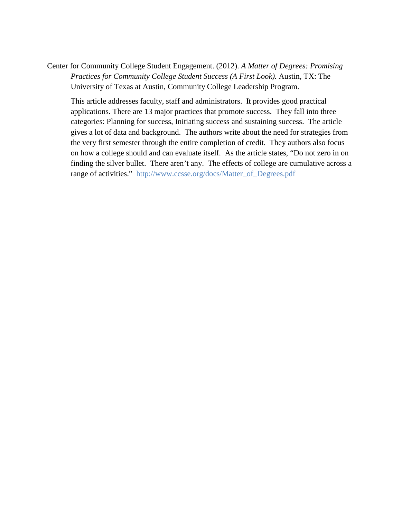Center for Community College Student Engagement. (2012). *A Matter of Degrees: Promising Practices for Community College Student Success (A First Look).* Austin, TX: The University of Texas at Austin, Community College Leadership Program.

This article addresses faculty, staff and administrators. It provides good practical applications. There are 13 major practices that promote success. They fall into three categories: Planning for success, Initiating success and sustaining success. The article gives a lot of data and background. The authors write about the need for strategies from the very first semester through the entire completion of credit. They authors also focus on how a college should and can evaluate itself. As the article states, "Do not zero in on finding the silver bullet. There aren't any. The effects of college are cumulative across a range of activities." [http://www.ccsse.org/docs/Matter\\_of\\_Degrees.pdf](https://owa.middlesex.mass.edu/owa/redir.aspx?C=OqEygecYY0y0HdbS_90nUjw5dCjpFNFIL5QC0dfKBi9F9_caBrAzpsC2ivtbLEmiRHPOswyKksI.&URL=http%3a%2f%2fwww.ccsse.org%2fdocs%2fMatter_of_Degrees.pdf)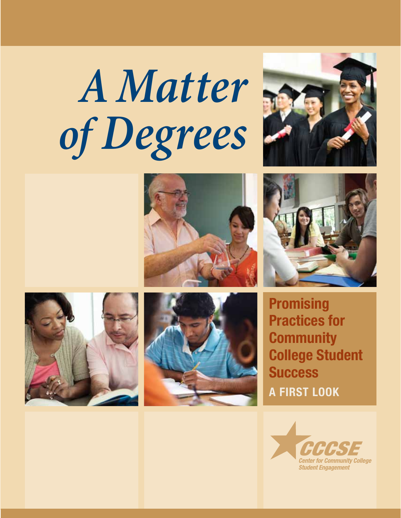# *A Matter of Degrees*











**Promising** Practices for **Community** College Student **Success** A First Look

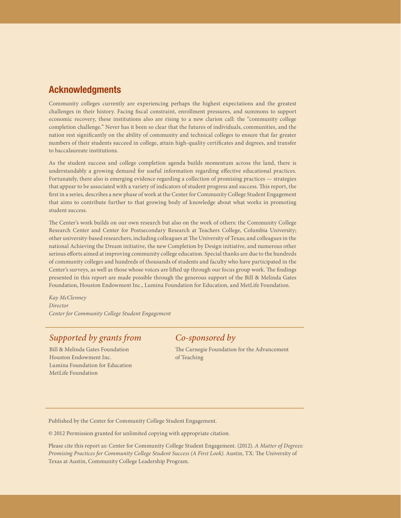# Acknowledgments

Community colleges currently are experiencing perhaps the highest expectations and the greatest challenges in their history. Facing fiscal constraint, enrollment pressures, and summons to support economic recovery, these institutions also are rising to a new clarion call: the "community college completion challenge." Never has it been so clear that the futures of individuals, communities, and the nation rest significantly on the ability of community and technical colleges to ensure that far greater numbers of their students succeed in college, attain high-quality certificates and degrees, and transfer to baccalaureate institutions.

As the student success and college completion agenda builds momentum across the land, there is understandably a growing demand for useful information regarding effective educational practices. Fortunately, there also is emerging evidence regarding a collection of promising practices — strategies that appear to be associated with a variety of indicators of student progress and success. This report, the first in a series, describes a new phase of work at the Center for Community College Student Engagement that aims to contribute further to that growing body of knowledge about what works in promoting student success.

The Center's work builds on our own research but also on the work of others: the Community College Research Center and Center for Postsecondary Research at Teachers College, Columbia University; other university-based researchers, including colleagues at The University of Texas; and colleagues in the national Achieving the Dream initiative, the new Completion by Design initiative, and numerous other serious efforts aimed at improving community college education. Special thanks are due to the hundreds of community colleges and hundreds of thousands of students and faculty who have participated in the Center's surveys, as well as those whose voices are lifted up through our focus group work. The findings presented in this report are made possible through the generous support of the Bill & Melinda Gates Foundation, Houston Endowment Inc., Lumina Foundation for Education, and MetLife Foundation.

*Kay McClenney Director Center for Community College Student Engagement*

# *Supported by grants from*

Bill & Melinda Gates Foundation Houston Endowment Inc. Lumina Foundation for Education MetLife Foundation

# *Co-sponsored by*

The Carnegie Foundation for the Advancement of Teaching

Published by the Center for Community College Student Engagement.

© 2012 Permission granted for unlimited copying with appropriate citation.

Please cite this report as: Center for Community College Student Engagement. (2012). *A Matter of Degrees: Promising Practices for Community College Student Success (A First Look).* Austin, TX: The University of Texas at Austin, Community College Leadership Program.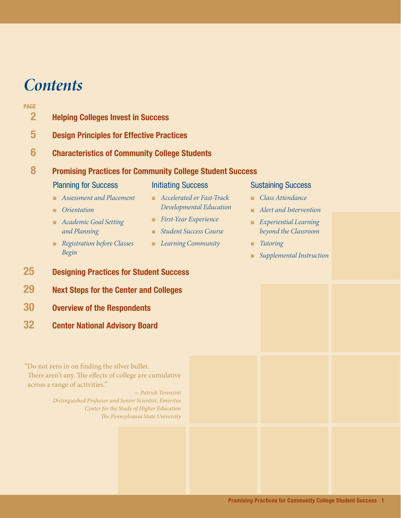# *Contents*

#### **PAGE**

- 2 Helping Colleges Invest in Success
- 5 Design Principles for Effective Practices
- 6 Characteristics of Community College Students

# 8 Promising Practices for Community College Student Success

# Planning for Success

# Initiating Success

- *Assessment and Placement*
- *Orientation*

■ *First-Year Experience*

■ *Accelerated or Fast-Track Developmental Education*

- *Academic Goal Setting and Planning*
- *Student Success Course*

■ *Learning Community* 

- *Registration before Classes Begin*
- 25 Designing Practices for Student Success
- 29 Next Steps for the Center and Colleges
- 30 Overview of the Respondents
- 32 Center National Advisory Board

"Do not zero in on finding the silver bullet.

There aren't any. The effects of college are cumulative across a range of activities."

> *— Patrick Terenzini Distinguished Professor and Senior Scientist, Emeritus Center for the Study of Higher Education The Pennsylvania State University*

### Sustaining Success

- *Class Attendance*
- *Alert and Intervention*
- *Experiential Learning beyond the Classroom*
- *Tutoring*
- *Supplemental Instruction*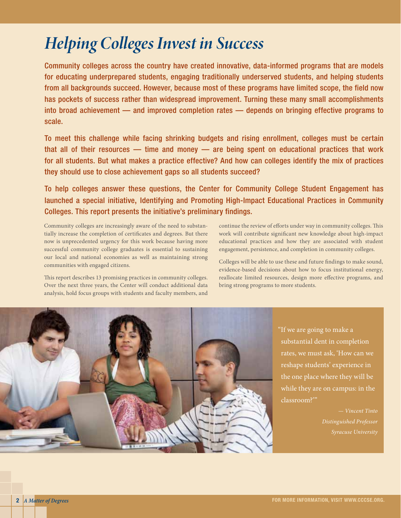# *Helping Colleges Invest in Success*

Community colleges across the country have created innovative, data-informed programs that are models for educating underprepared students, engaging traditionally underserved students, and helping students from all backgrounds succeed. However, because most of these programs have limited scope, the field now has pockets of success rather than widespread improvement. Turning these many small accomplishments into broad achievement — and improved completion rates — depends on bringing effective programs to scale.

To meet this challenge while facing shrinking budgets and rising enrollment, colleges must be certain that all of their resources — time and money — are being spent on educational practices that work for all students. But what makes a practice effective? And how can colleges identify the mix of practices they should use to close achievement gaps so all students succeed?

To help colleges answer these questions, the Center for Community College Student Engagement has launched a special initiative, Identifying and Promoting High-Impact Educational Practices in Community Colleges. This report presents the initiative's preliminary findings.

Community colleges are increasingly aware of the need to substantially increase the completion of certificates and degrees. But there now is unprecedented urgency for this work because having more successful community college graduates is essential to sustaining our local and national economies as well as maintaining strong communities with engaged citizens.

This report describes 13 promising practices in community colleges. Over the next three years, the Center will conduct additional data analysis, hold focus groups with students and faculty members, and continue the review of efforts under way in community colleges. This work will contribute significant new knowledge about high-impact educational practices and how they are associated with student engagement, persistence, and completion in community colleges.

Colleges will be able to use these and future findings to make sound, evidence-based decisions about how to focus institutional energy, reallocate limited resources, design more effective programs, and bring strong programs to more students.



"If we are going to make a substantial dent in completion rates, we must ask, 'How can we reshape students' experience in the one place where they will be while they are on campus: in the classroom?'"

> *— Vincent Tinto Distinguished Professor*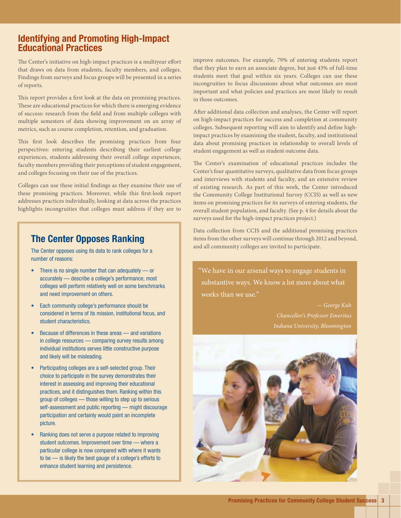# Identifying and Promoting High-Impact Educational Practices

The Center's initiative on high-impact practices is a multiyear effort that draws on data from students, faculty members, and colleges. Findings from surveys and focus groups will be presented in a series of reports.

This report provides a first look at the data on promising practices. These are educational practices for which there is emerging evidence of success: research from the field and from multiple colleges with multiple semesters of data showing improvement on an array of metrics, such as course completion, retention, and graduation.

This first look describes the promising practices from four perspectives: entering students describing their earliest college experiences, students addressing their overall college experiences, faculty members providing their perceptions of student engagement, and colleges focusing on their use of the practices.

Colleges can use these initial findings as they examine their use of these promising practices. Moreover, while this first-look report addresses practices individually, looking at data across the practices highlights incongruities that colleges must address if they are to

# The Center Opposes Ranking

The Center opposes using its data to rank colleges for a number of reasons:

- There is no single number that can adequately or accurately — describe a college's performance; most colleges will perform relatively well on some benchmarks and need improvement on others.
- Each community college's performance should be considered in terms of its mission, institutional focus, and student characteristics.
- Because of differences in these areas and variations in college resources — comparing survey results among individual institutions serves little constructive purpose and likely will be misleading.
- Participating colleges are a self-selected group. Their choice to participate in the survey demonstrates their interest in assessing and improving their educational practices, and it distinguishes them. Ranking within this group of colleges — those willing to step up to serious self-assessment and public reporting — might discourage participation and certainly would paint an incomplete picture.
- Ranking does not serve a purpose related to improving student outcomes. Improvement over time — where a particular college is now compared with where it wants to be — is likely the best gauge of a college's efforts to enhance student learning and persistence.

improve outcomes. For example, 79% of entering students report that they plan to earn an associate degree, but just 45% of full-time students meet that goal within six years. Colleges can use these incongruities to focus discussions about what outcomes are most important and what policies and practices are most likely to result in those outcomes.

After additional data collection and analyses, the Center will report on high-impact practices for success and completion at community colleges. Subsequent reporting will aim to identify and define highimpact practices by examining the student, faculty, and institutional data about promising practices in relationship to overall levels of student engagement as well as student outcome data.

The Center's examination of educational practices includes the Center's four quantitative surveys, qualitative data from focus groups and interviews with students and faculty, and an extensive review of existing research. As part of this work, the Center introduced the Community College Institutional Survey (CCIS) as well as new items on promising practices for its surveys of entering students, the overall student population, and faculty. (See p. 4 for details about the surveys used for the high-impact practices project.)

Data collection from CCIS and the additional promising practices items from the other surveys will continue through 2012 and beyond, and all community colleges are invited to participate.

"We have in our arsenal ways to engage students in substantive ways. We know a lot more about what works than we use."

> *— George Kuh Indiana University, Bloomington*

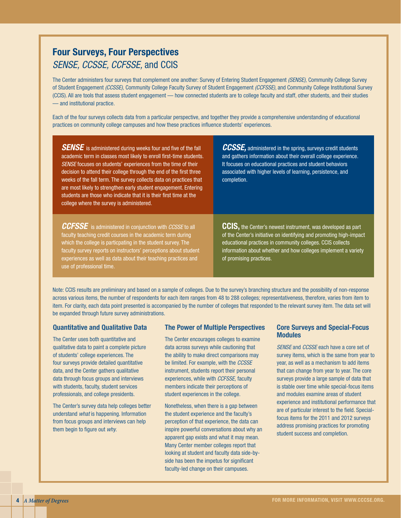# Four Surveys, Four Perspectives *SENSE, CCSSE, CCFSSE,* and CCIS

The Center administers four surveys that complement one another: Survey of Entering Student Engagement *(SENSE),* Community College Survey of Student Engagement *(CCSSE),* Community College Faculty Survey of Student Engagement *(CCFSSE)*, and Community College Institutional Survey (CCIS). All are tools that assess student engagement — how connected students are to college faculty and staff, other students, and their studies — and institutional practice.

Each of the four surveys collects data from a particular perspective, and together they provide a comprehensive understanding of educational practices on community college campuses and how these practices influence students' experiences.

**SENSE** is administered during weeks four and five of the fall academic term in classes most likely to enroll first-time students. *SENSE* focuses on students' experiences from the time of their decision to attend their college through the end of the first three weeks of the fall term. The survey collects data on practices that are most likely to strengthen early student engagement. Entering students are those who indicate that it is their first time at the college where the survey is administered.

*CCSSE,* administered in the spring, surveys credit students and gathers information about their overall college experience. It focuses on educational practices and student behaviors associated with higher levels of learning, persistence, and completion.

*CCFSSE* is administered in conjunction with *CCSSE* to all faculty teaching credit courses in the academic term during which the college is particpating in the student survey. The faculty survey reports on instructors' perceptions about student experiences as well as data about their teaching practices and use of professional time.

CCIS, the Center's newest instrument, was developed as part of the Center's initiative on identifying and promoting high-impact educational practices in community colleges. CCIS collects information about whether and how colleges implement a variety of promising practices.

Note: CCIS results are preliminary and based on a sample of colleges. Due to the survey's branching structure and the possibility of non-response across various items, the number of respondents for each item ranges from 48 to 288 colleges; representativeness, therefore, varies from item to item. For clarity, each data point presented is accompanied by the number of colleges that responded to the relevant survey item. The data set will be expanded through future survey administrations.

#### Quantitative and Qualitative Data

The Center uses both quantitative and qualitative data to paint a complete picture of students' college experiences. The four surveys provide detailed quantitative data, and the Center gathers qualitative data through focus groups and interviews with students, faculty, student services professionals, and college presidents.

The Center's survey data help colleges better understand *what* is happening. Information from focus groups and interviews can help them begin to figure out *why*.

#### The Power of Multiple Perspectives

The Center encourages colleges to examine data across surveys while cautioning that the ability to make direct comparisons may be limited. For example, with the *CCSSE* instrument, students report their personal experiences, while with *CCFSSE,* faculty members indicate their perceptions of student experiences in the college.

Nonetheless, when there is a gap between the student experience and the faculty's perception of that experience, the data can inspire powerful conversations about why an apparent gap exists and what it may mean. Many Center member colleges report that looking at student and faculty data side-byside has been the impetus for significant faculty-led change on their campuses.

#### Core Surveys and Special-Focus **Modules**

*SENSE* and *CCSSE* each have a core set of survey items, which is the same from year to year, as well as a mechanism to add items that can change from year to year. The core surveys provide a large sample of data that is stable over time while special-focus items and modules examine areas of student experience and institutional performance that are of particular interest to the field. Specialfocus items for the 2011 and 2012 surveys address promising practices for promoting student success and completion.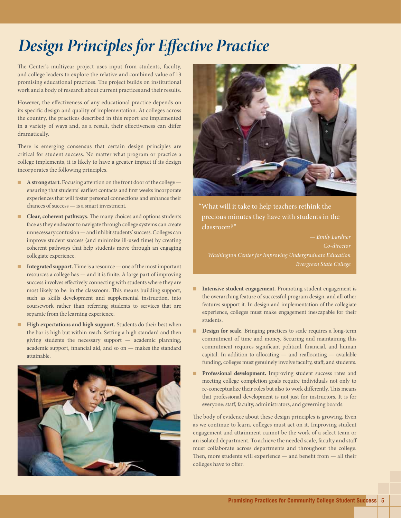# *Design Principles for Effective Practice*

The Center's multiyear project uses input from students, faculty, and college leaders to explore the relative and combined value of 13 promising educational practices. The project builds on institutional work and a body of research about current practices and their results.

However, the effectiveness of any educational practice depends on its specific design and quality of implementation. At colleges across the country, the practices described in this report are implemented in a variety of ways and, as a result, their effectiveness can differ dramatically.

There is emerging consensus that certain design principles are critical for student success. No matter what program or practice a college implements, it is likely to have a greater impact if its design incorporates the following principles.

- **A strong start.** Focusing attention on the front door of the college ensuring that students' earliest contacts and first weeks incorporate experiences that will foster personal connections and enhance their chances of success — is a smart investment.
- **Clear, coherent pathways.** The many choices and options students face as they endeavor to navigate through college systems can create unnecessary confusion — and inhibit students' success. Colleges can improve student success (and minimize ill-used time) by creating coherent pathways that help students move through an engaging collegiate experience.
- **Integrated support.** Time is a resource one of the most important resources a college has — and it is finite. A large part of improving success involves effectively connecting with students where they are most likely to be: in the classroom. This means building support, such as skills development and supplemental instruction, into coursework rather than referring students to services that are separate from the learning experience.
- **High expectations and high support.** Students do their best when the bar is high but within reach. Setting a high standard and then giving students the necessary support — academic planning, academic support, financial aid, and so on — makes the standard attainable.





"What will it take to help teachers rethink the precious minutes they have with students in the classroom?"

*— Emily Lardner Co-director Washington Center for Improving Undergraduate Education Evergreen State College*

- Intensive student engagement. Promoting student engagement is the overarching feature of successful program design, and all other features support it. In design and implementation of the collegiate experience, colleges must make engagement inescapable for their students.
- **Design for scale.** Bringing practices to scale requires a long-term commitment of time and money. Securing and maintaining this commitment requires significant political, financial, and human capital. In addition to allocating — and reallocating — available funding, colleges must genuinely involve faculty, staff, and students.
- **Professional development.** Improving student success rates and meeting college completion goals require individuals not only to re-conceptualize their roles but also to work differently. This means that professional development is not just for instructors. It is for everyone: staff, faculty, administrators, and governing boards.

The body of evidence about these design principles is growing. Even as we continue to learn, colleges must act on it. Improving student engagement and attainment cannot be the work of a select team or an isolated department. To achieve the needed scale, faculty and staff must collaborate across departments and throughout the college. Then, more students will experience — and benefit from — all their colleges have to offer.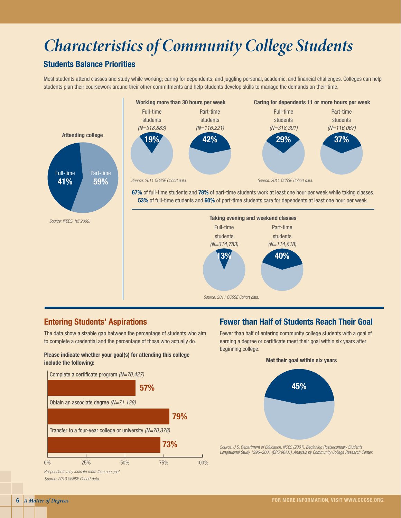# *Characteristics of Community College Students*

# Students Balance Priorities

Most students attend classes and study while working; caring for dependents; and juggling personal, academic, and financial challenges. Colleges can help students plan their coursework around their other commitments and help students develop skills to manage the demands on their time.



# Entering Students' Aspirations

The data show a sizable gap between the percentage of students who aim to complete a credential and the percentage of those who actually do.

#### Please indicate whether your goal(s) for attending this college include the following:



*Source: 2010 SENSE Cohort data.*

# Fewer than Half of Students Reach Their Goal

Fewer than half of entering community college students with a goal of earning a degree or certificate meet their goal within six years after beginning college.

Met their goal within six years



*Source: U.S. Department of Education, NCES (2001). Beginning Postsecondary Students Longitudinal Study 1996–2001 (BPS:96/01). Analysis by Community College Research Center.*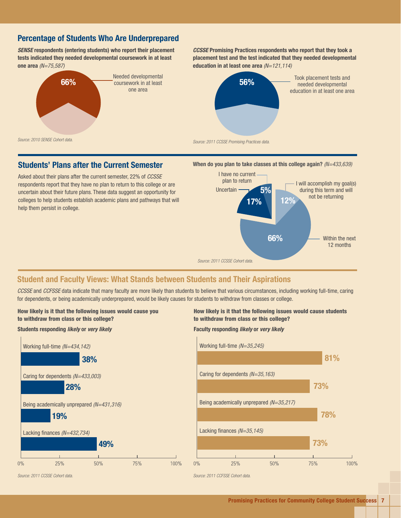# Percentage of Students Who Are Underprepared

*SENSE* respondents (entering students) who report their placement tests indicated they needed developmental coursework in at least one area *(N=75,587)*



*CCSSE* Promising Practices respondents who report that they took a placement test and the test indicated that they needed developmental education in at least one area *(N=121,114)*



# Students' Plans after the Current Semester

Asked about their plans after the current semester, 22% of *CCSSE* respondents report that they have no plan to return to this college or are uncertain about their future plans. These data suggest an opportunity for colleges to help students establish academic plans and pathways that will help them persist in college.





# Student and Faculty Views: What Stands between Students and Their Aspirations

*CCSSE* and *CCFSSE* data indicate that many faculty are more likely than students to believe that various circumstances, including working full-time, caring for dependents, or being academically underprepared, would be likely causes for students to withdraw from classes or college.

100%



#### Students responding *likely* or *very likely*



How likely is it that the following issues would cause students to withdraw from class or this college?

#### Faculty responding *likely* or *very likely*

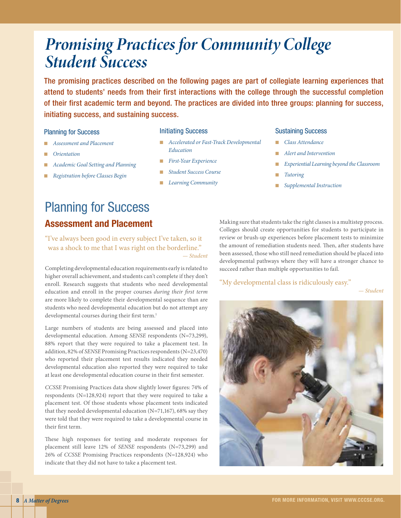# *Promising Practices for Community College Student Success*

The promising practices described on the following pages are part of collegiate learning experiences that attend to students' needs from their first interactions with the college through the successful completion of their first academic term and beyond. The practices are divided into three groups: planning for success, initiating success, and sustaining success.

#### Planning for Success

- *Assessment and Placement*
- *Orientation*
- *Academic Goal Setting and Planning*
- *Registration before Classes Begin*

#### Initiating Success

- *Accelerated or Fast-Track Developmental Education*
- *First-Year Experience*
- *Student Success Course*
- *Learning Community*

#### Sustaining Success

- *Class Attendance*
- *Alert and Intervention*
- $Experimental Learning$  beyond the Classroom
- *Tutoring*
- *Supplemental Instruction*

# Planning for Success Assessment and Placement

"I've always been good in every subject I've taken, so it was a shock to me that I was right on the borderline." *— Student*

Completing developmental education requirements early is related to higher overall achievement, and students can't complete if they don't enroll. Research suggests that students who need developmental education and enroll in the proper courses *during their first term*  are more likely to complete their developmental sequence than are students who need developmental education but do not attempt any developmental courses during their first term.<sup>1</sup>

Large numbers of students are being assessed and placed into developmental education. Among *SENSE* respondents (N=73,299), 88% report that they were required to take a placement test. In addition, 82% of *SENSE* Promising Practices respondents (N=23,470) who reported their placement test results indicated they needed developmental education also reported they were required to take at least one developmental education course in their first semester.

*CCSSE* Promising Practices data show slightly lower figures: 74% of respondents (N=128,924) report that they were required to take a placement test. Of those students whose placement tests indicated that they needed developmental education (N=71,167), 68% say they were told that they were required to take a developmental course in their first term.

These high responses for testing and moderate responses for placement still leave 12% of *SENSE* respondents (N=73,299) and 26% of *CCSSE* Promising Practices respondents (N=128,924) who indicate that they did not have to take a placement test.

Making sure that students take the right classes is a multistep process. Colleges should create opportunities for students to participate in review or brush-up experiences before placement tests to minimize the amount of remediation students need. Then, after students have been assessed, those who still need remediation should be placed into developmental pathways where they will have a stronger chance to succeed rather than multiple opportunities to fail.

#### "My developmental class is ridiculously easy."

*— Student*

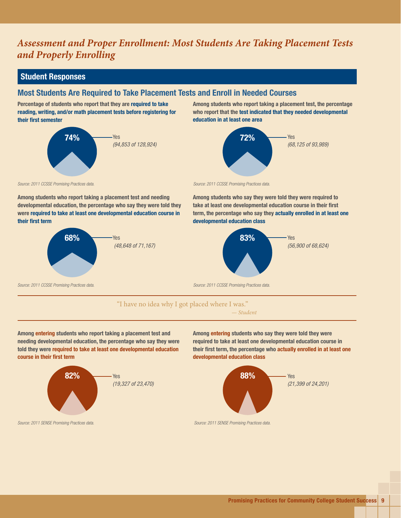# *Assessment and Proper Enrollment: Most Students Are Taking Placement Tests and Properly Enrolling*

# Student Responses

# Most Students Are Required to Take Placement Tests and Enroll in Needed Courses

Percentage of students who report that they are required to take reading, writing, and/or math placement tests before registering for their first semester



Among students who report taking a placement test, the percentage who report that the test indicated that they needed developmental education in at least one area



*Source: 2011 CCSSE Promising Practices data.*

Among students who report taking a placement test and needing developmental education, the percentage who say they were told they were required to take at least one developmental education course in their first term





Among students who say they were told they were required to take at least one developmental education course in their first term, the percentage who say they actually enrolled in at least one developmental education class



#### "I have no idea why I got placed where I was."

*— Student*

Among entering students who report taking a placement test and needing developmental education, the percentage who say they were told they were required to take at least one developmental education course in their first term



Among entering students who say they were told they were required to take at least one developmental education course in their first term, the percentage who actually enrolled in at least one developmental education class



*Source: 2011 SENSE Promising Practices data. Source: 2011 SENSE Promising Practices data.*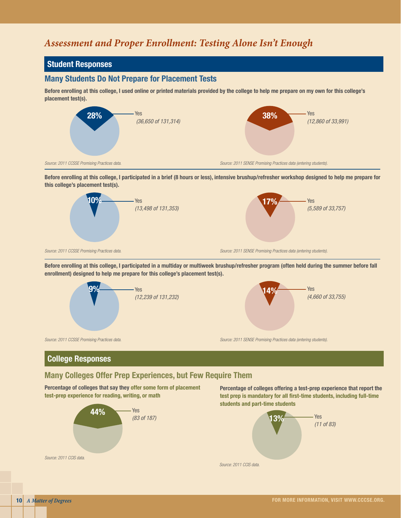# *Assessment and Proper Enrollment: Testing Alone Isn't Enough*

# Student Responses

#### Many Students Do Not Prepare for Placement Tests

Before enrolling at this college, I used online or printed materials provided by the college to help me prepare on my own for this college's placement test(s).



Before enrolling at this college, I participated in a brief (8 hours or less), intensive brushup/refresher workshop designed to help me prepare for this college's placement test(s).



Before enrolling at this college, I participated in a multiday or multiweek brushup/refresher program (often held during the summer before fall enrollment) designed to help me prepare for this college's placement test(s).



# College Responses

# Many Colleges Offer Prep Experiences, but Few Require Them

Percentage of colleges that say they offer some form of placement test-prep experience for reading, writing, or math



Percentage of colleges offering a test-prep experience that report the test prep is mandatory for all first-time students, including full-time students and part-time students

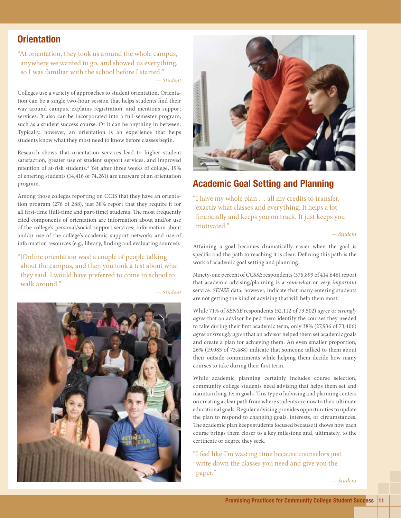# **Orientation**

"At orientation, they took us around the whole campus, anywhere we wanted to go, and showed us everything, so I was familiar with the school before I started."

*— Student*

Colleges use a variety of approaches to student orientation. Orientation can be a single two-hour session that helps students find their way around campus, explains registration, and mentions support services. It also can be incorporated into a full-semester program, such as a student success course. Or it can be anything in between. Typically, however, an orientation is an experience that helps students know what they most need to know before classes begin.

Research shows that orientation services lead to higher student satisfaction, greater use of student support services, and improved retention of at-risk students.2 Yet after three weeks of college, 19% of entering students (14,416 of 74,261) are unaware of an orientation program.

Among those colleges reporting on CCIS that they have an orientation program (276 of 288), just 38% report that they require it for all first-time (full-time and part-time) students. The most frequently cited components of orientation are information about and/or use of the college's personal/social support services; information about and/or use of the college's academic support network; and use of information resources (e.g., library, finding and evaluating sources).

"[Online orientation was] a couple of people talking about the campus, and then you took a test about what they said. I would have preferred to come to school to walk around."



*— Student*



# Academic Goal Setting and Planning

"I have my whole plan … all my credits to transfer, exactly what classes and everything. It helps a lot financially and keeps you on track. It just keeps you motivated."

*— Student*

Attaining a goal becomes dramatically easier when the goal is specific and the path to reaching it is clear. Defining this path is the work of academic goal setting and planning.

Ninety-one percent of *CCSSE* respondents (376,899 of 414,646) report that academic advising/planning is a *somewhat* or *very important*  service. *SENSE* data, however, indicate that many entering students are not getting the kind of advising that will help them most.

While 71% of *SENSE* respondents (52,112 of 73,502) *agree* or *strongly agree* that an advisor helped them identify the courses they needed to take during their first academic term, only 38% (27,936 of 73,406) *agree* or *strongly agree* that an advisor helped them set academic goals and create a plan for achieving them. An even smaller proportion, 26% (19,085 of 73,488) indicate that someone talked to them about their outside commitments while helping them decide how many courses to take during their first term.

While academic planning certainly includes course selection, community college students need advising that helps them set and maintain long-term goals. This type of advising and planning centers on creating a clear path from where students are now to their ultimate educational goals. Regular advising provides opportunities to update the plan to respond to changing goals, interests, or circumstances. The academic plan keeps students focused because it shows how each course brings them closer to a key milestone and, ultimately, to the certificate or degree they seek.

"I feel like I'm wasting time because counselors just write down the classes you need and give you the paper."

*— Student*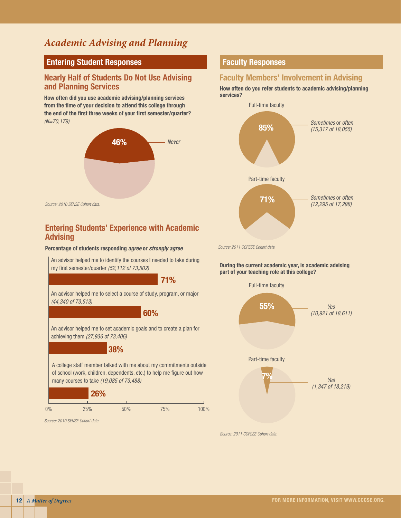# *Academic Advising and Planning*

# Entering Student Responses

# Nearly Half of Students Do Not Use Advising and Planning Services

How often did you use academic advising/planning services from the time of your decision to attend this college through the end of the first three weeks of your first semester/quarter? *(N=70,179)*



# Entering Students' Experience with Academic **Advising**

#### Percentage of students responding *agree* or *strongly agree*

An advisor helped me to identify the courses I needed to take during my first semester/quarter *(52,112 of 73,502)*

An advisor helped me to select a course of study, program, or major *(44,340 of 73,513)* 71% 60%

An advisor helped me to set academic goals and to create a plan for achieving them *(27,936 of 73,406)*

#### 38%

A college staff member talked with me about my commitments outside of school (work, children, dependents, etc.) to help me figure out how many courses to take *(19,085 of 73,488)*



*Source: 2010 SENSE Cohort data.*

# Faculty Responses

# Faculty Members' Involvement in Advising

How often do you refer students to academic advising/planning services?



*Source: 2011 CCFSSE Cohort data.*

During the current academic year, is academic advising part of your teaching role at this college?



*Source: 2011 CCFSSE Cohort data.*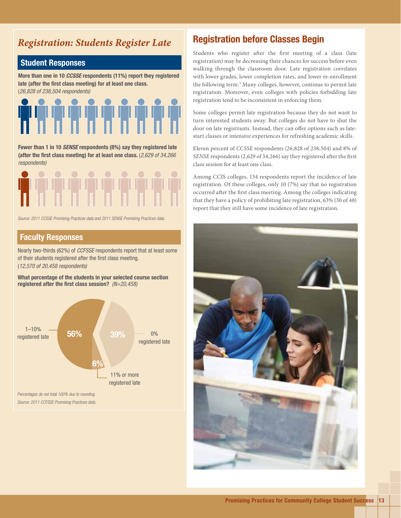# *Registration: Students Register Late*

# Student Responses

More than one in 10 *CCSSE* respondents (11%) report they registered late (after the first class meeting) for at least one class. (*26,828 of 238,504 respondents)*



Fewer than 1 in 10 *SENSE* respondents (8%) say they registered late (after the first class meeting) for at least one class. (*2,629 of 34,266 respondents)*



*Source: 2011 CCSSE Promising Practices data and 2011 SENSE Promising Practices data.*

### Faculty Responses

Nearly two-thirds (62%) of *CCFSSE* respondents report that at least some of their students registered after the first class meeting. (*12,570 of 20,458 respondents)*

What percentage of the students in your selected course section registered after the first class session? *(N=20,458)*



# Registration before Classes Begin

Students who register after the first meeting of a class (late registration) may be decreasing their chances for success before even walking through the classroom door. Late registration correlates with lower grades, lower completion rates, and lower re-enrollment the following term.<sup>3</sup> Many colleges, however, continue to permit late registration. Moreover, even colleges with policies forbidding late registration tend to be inconsistent in enforcing them.

Some colleges permit late registration because they do not want to turn interested students away. But colleges do not have to shut the door on late registrants. Instead, they can offer options such as latestart classes or intensive experiences for refreshing academic skills.

Eleven percent of *CCSSE* respondents (26,828 of 238,504) and 8% of *SENSE* respondents (2,629 of 34,266) say they registered after the first class session for at least one class.

Among CCIS colleges, 134 respondents report the incidence of late registration. Of these colleges, only 10 (7%) say that no registration occurred after the first class meeting. Among the colleges indicating that they have a policy of prohibiting late registration, 63% (30 of 48) report that they still have some incidence of late registration.

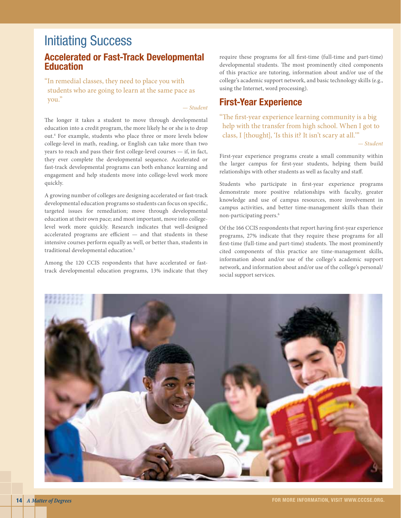# Initiating Success

# Accelerated or Fast-Track Developmental **Education**

"In remedial classes, they need to place you with students who are going to learn at the same pace as you."

*— Student*

The longer it takes a student to move through developmental education into a credit program, the more likely he or she is to drop out.4 For example, students who place three or more levels below college-level in math, reading, or English can take more than two years to reach and pass their first college-level courses — if, in fact, they ever complete the developmental sequence. Accelerated or fast-track developmental programs can both enhance learning and engagement and help students move into college-level work more quickly.

A growing number of colleges are designing accelerated or fast-track developmental education programs so students can focus on specific, targeted issues for remediation; move through developmental education at their own pace; and most important, move into collegelevel work more quickly. Research indicates that well-designed accelerated programs are efficient — and that students in these intensive courses perform equally as well, or better than, students in traditional developmental education.<sup>5</sup>

Among the 120 CCIS respondents that have accelerated or fasttrack developmental education programs, 13% indicate that they require these programs for all first-time (full-time and part-time) developmental students. The most prominently cited components of this practice are tutoring, information about and/or use of the college's academic support network, and basic technology skills (e.g., using the Internet, word processing).

# First-Year Experience

"The first-year experience learning community is a big help with the transfer from high school. When I got to class, I [thought], 'Is this it? It isn't scary at all.'"

*— Student*

First-year experience programs create a small community within the larger campus for first-year students, helping them build relationships with other students as well as faculty and staff.

Students who participate in first-year experience programs demonstrate more positive relationships with faculty, greater knowledge and use of campus resources, more involvement in campus activities, and better time-management skills than their non-participating peers.<sup>6</sup>

Of the 166 CCIS respondents that report having first-year experience programs, 27% indicate that they require these programs for all first-time (full-time and part-time) students. The most prominently cited components of this practice are time-management skills, information about and/or use of the college's academic support network, and information about and/or use of the college's personal/ social support services.

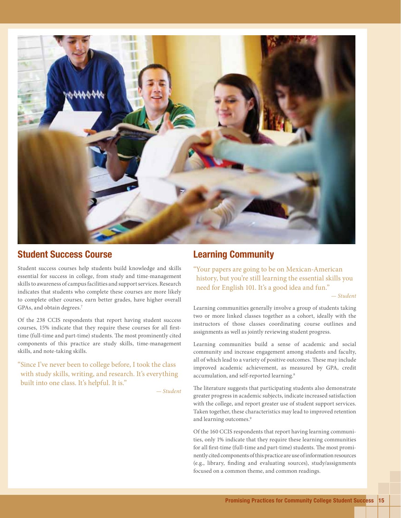

# Student Success Course

Student success courses help students build knowledge and skills essential for success in college, from study and time-management skills to awareness of campus facilities and support services. Research indicates that students who complete these courses are more likely to complete other courses, earn better grades, have higher overall GPAs, and obtain degrees.7

Of the 238 CCIS respondents that report having student success courses, 15% indicate that they require these courses for all firsttime (full-time and part-time) students. The most prominently cited components of this practice are study skills, time-management skills, and note-taking skills.

"Since I've never been to college before, I took the class with study skills, writing, and research. It's everything built into one class. It's helpful. It is."

*— Student*

# Learning Community

"Your papers are going to be on Mexican-American history, but you're still learning the essential skills you need for English 101. It's a good idea and fun."

*— Student*

Learning communities generally involve a group of students taking two or more linked classes together as a cohort, ideally with the instructors of those classes coordinating course outlines and assignments as well as jointly reviewing student progress.

Learning communities build a sense of academic and social community and increase engagement among students and faculty, all of which lead to a variety of positive outcomes. These may include improved academic achievement, as measured by GPA, credit accumulation, and self-reported learning.<sup>8</sup>

The literature suggests that participating students also demonstrate greater progress in academic subjects, indicate increased satisfaction with the college, and report greater use of student support services. Taken together, these characteristics may lead to improved retention and learning outcomes.<sup>9</sup>

Of the 160 CCIS respondents that report having learning communities, only 1% indicate that they require these learning communities for all first-time (full-time and part-time) students. The most prominently cited components of this practice are use of information resources (e.g., library, finding and evaluating sources), study/assignments focused on a common theme, and common readings.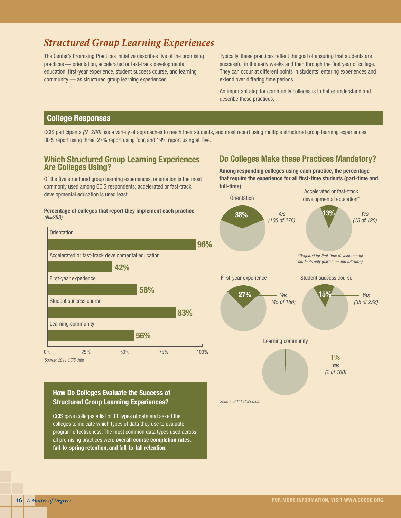# *Structured Group Learning Experiences*

The Center's Promising Practices initiative describes five of the promising practices — orientation, accelerated or fast-track developmental education, first-year experience, student success course, and learning community — as structured group learning experiences.

Typically, these practices reflect the goal of ensuring that students are successful in the early weeks and then through the first year of college. They can occur at different points in students' entering experiences and extend over differing time periods.

An important step for community colleges is to better understand and describe these practices.

# College Responses

CCIS participants *(N=288)* use a variety of approaches to reach their students, and most report using multiple structured group learning experiences: 30% report using three, 27% report using four, and 19% report using all five.

### Which Structured Group Learning Experiences Are Colleges Using?

Of the five structured group learning experiences, orientation is the most commonly used among CCIS respondents; accelerated or fast-track developmental education is used least.

#### Percentage of colleges that report they implement each practice *(N=288)*



*Source: 2011 CCIS data.*

# How Do Colleges Evaluate the Success of Structured Group Learning Experiences?

CCIS gave colleges a list of 11 types of data and asked the colleges to indicate which types of data they use to evaluate program effectiveness. The most common data types used across all promising practices were overall course completion rates, fall-to-spring retention, and fall-to-fall retention.

# Do Colleges Make these Practices Mandatory?

Among responding colleges using each practice, the percentage that require the experience for all first-time students (part-time and full-time)

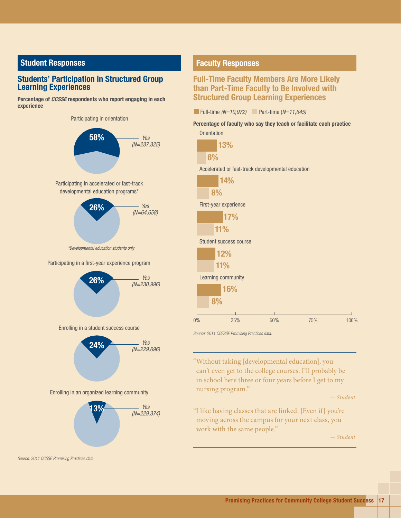# Student Responses

#### Students' Participation in Structured Group Learning Experiences

Percentage of *CCSSE* respondents who report engaging in each experience

Participating in orientation

58% Participating in a first-year experience program 26% 26% Participating in accelerated or fast-track developmental education programs\* *Yes (N=237,325) Yes (N=64,658) Yes (N=230,996) \*Developmental education students only*

Enrolling in a student success course



Enrolling in an organized learning community



*Source: 2011 CCSSE Promising Practices data.*

#### Faculty Responses

# Full-Time Faculty Members Are More Likely than Part-Time Faculty to Be Involved with Structured Group Learning Experiences

| <b>Full-time</b> $(N=10,972)$ |  | Part-time (N=11,645) |
|-------------------------------|--|----------------------|
|-------------------------------|--|----------------------|

#### Percentage of faculty who say they teach or facilitate each practice **Orientation**



*Source: 2011 CCFSSE Promising Practices data.*

"Without taking [developmental education], you can't even get to the college courses. I'll probably be in school here three or four years before I get to my nursing program."

*— Student*

"I like having classes that are linked. [Even if] you're moving across the campus for your next class, you work with the same people."

*— Student*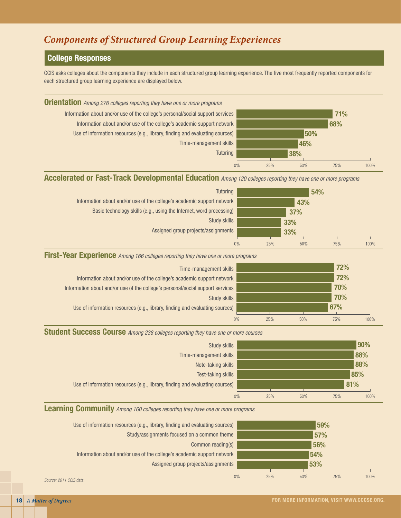# *Components of Structured Group Learning Experiences*

# College Responses

CCIS asks colleges about the components they include in each structured group learning experience. The five most frequently reported components for each structured group learning experience are displayed below.



#### Accelerated or Fast-Track Developmental Education *Among 120 colleges reporting they have one or more programs*

| <b>Tutoring</b>                                                        |           |     | 54% |      |
|------------------------------------------------------------------------|-----------|-----|-----|------|
| Information about and/or use of the college's academic support network |           | 43% |     |      |
| Basic technology skills (e.g., using the Internet, word processing)    |           | 37% |     |      |
| Study skills                                                           |           | 33% |     |      |
| Assigned group projects/assignments                                    |           | 33% |     |      |
|                                                                        | 0%<br>25% | 50% | 75% | 100% |

#### First-Year Experience *Among 166 colleges reporting they have one or more programs*



# Student Success Course *Among 238 colleges reporting they have one or more courses*



# Learning Community *Among 160 colleges reporting they have one or more programs*



*Source: 2011 CCIS data.*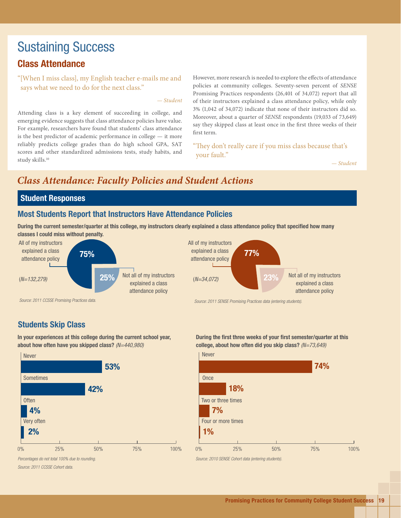# Sustaining Success Class Attendance

"[When I miss class], my English teacher e-mails me and says what we need to do for the next class."

#### *— Student*

Attending class is a key element of succeeding in college, and emerging evidence suggests that class attendance policies have value. For example, researchers have found that students' class attendance is the best predictor of academic performance in college — it more reliably predicts college grades than do high school GPA, SAT scores and other standardized admissions tests, study habits, and study skills.10

However, more research is needed to explore the effects of attendance policies at community colleges. Seventy-seven percent of *SENSE* Promising Practices respondents (26,401 of 34,072) report that all of their instructors explained a class attendance policy, while only 3% (1,042 of 34,072) indicate that none of their instructors did so. Moreover, about a quarter of *SENSE* respondents (19,033 of 73,649) say they skipped class at least once in the first three weeks of their first term.

"They don't really care if you miss class because that's your fault."

*— Student*

# *Class Attendance: Faculty Policies and Student Actions*

### Student Responses

#### Most Students Report that Instructors Have Attendance Policies

During the current semester/quarter at this college, my instructors clearly explained a class attendance policy that specified how many classes I could miss without penalty.





# Students Skip Class

In your experiences at this college during the current school year, about how often have you skipped class? *(N=440,980)* 



*Percentages do not total 100% due to rounding. Source: 2011 CCSSE Cohort data.*

During the first three weeks of your first semester/quarter at this college, about how often did you skip class? *(N=73,649)*



*Source: 2010 SENSE Cohort data (entering students).*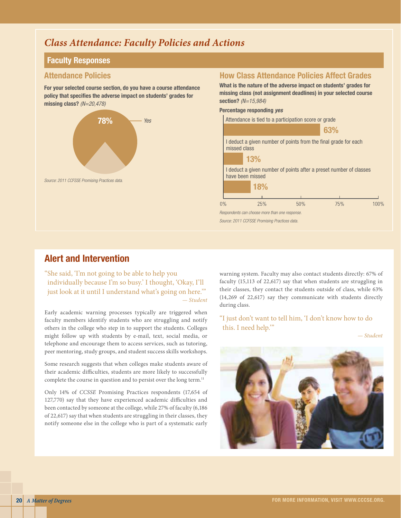# *Class Attendance: Faculty Policies and Actions*

### Faculty Responses

#### Attendance Policies

For your selected course section, do you have a course attendance policy that specifies the adverse impact on students' grades for missing class? *(N=20,478)*



# How Class Attendance Policies Affect Grades

What is the nature of the adverse impact on students' grades for missing class (not assignment deadlines) in your selected course section? *(N=15,984)*

Percentage responding *yes*



# Alert and Intervention

"She said, 'I'm not going to be able to help you individually because I'm so busy.' I thought, 'Okay, I'll just look at it until I understand what's going on here.'" *— Student*

Early academic warning processes typically are triggered when faculty members identify students who are struggling and notify others in the college who step in to support the students. Colleges might follow up with students by e-mail, text, social media, or telephone and encourage them to access services, such as tutoring, peer mentoring, study groups, and student success skills workshops.

Some research suggests that when colleges make students aware of their academic difficulties, students are more likely to successfully complete the course in question and to persist over the long term.<sup>11</sup>

Only 14% of *CCSSE* Promising Practices respondents (17,654 of 127,770) say that they have experienced academic difficulties and been contacted by someone at the college, while 27% of faculty (6,186 of 22,617) say that when students are struggling in their classes, they notify someone else in the college who is part of a systematic early

warning system. Faculty may also contact students directly: 67% of faculty (15,113 of 22,617) say that when students are struggling in their classes, they contact the students outside of class, while 63% (14,269 of 22,617) say they communicate with students directly during class.

"I just don't want to tell him, 'I don't know how to do this. I need help.'"

*— Student*

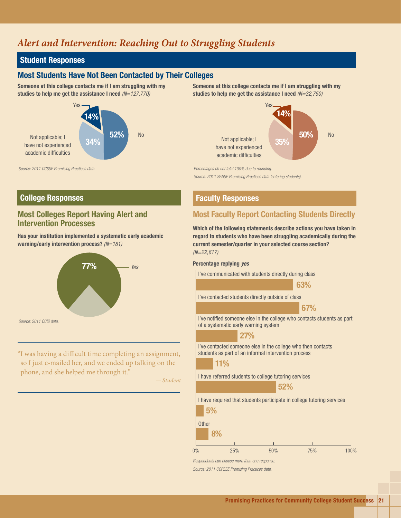# *Alert and Intervention: Reaching Out to Struggling Students*

# Student Responses

# Most Students Have Not Been Contacted by Their Colleges

Someone at this college contacts me if I am struggling with my studies to help me get the assistance I need *(N=127,770)*



*Source: 2011 CCSSE Promising Practices data.*

# **College Responses Faculty Responses**

# Most Colleges Report Having Alert and Intervention Processes

Has your institution implemented a systematic early academic warning/early intervention process? *(N=181)*



"I was having a difficult time completing an assignment, so I just e-mailed her, and we ended up talking on the phone, and she helped me through it."

*— Student*

Someone at this college contacts me if I am struggling with my studies to help me get the assistance I need *(N=32,750)*



*Percentages do not total 100% due to rounding.*

*Source: 2011 SENSE Promising Practices data (entering students).*

# Most Faculty Report Contacting Students Directly

Which of the following statements describe actions you have taken in regard to students who have been struggling academically during the current semester/quarter in your selected course section? *(N=22,617)*

#### Percentage replying *yes*

I've communicated with students directly during class

63%

I've contacted students directly outside of class

67%

I've notified someone else in the college who contacts students as part of a systematic early warning system

#### 27%

I've contacted someone else in the college who then contacts students as part of an informal intervention process



 $0%$ 

I have referred students to college tutoring services



I have required that students participate in college tutoring services



*Respondents can choose more than one response.* 

*Source: 2011 CCFSSE Promising Practices data.*

75%

100%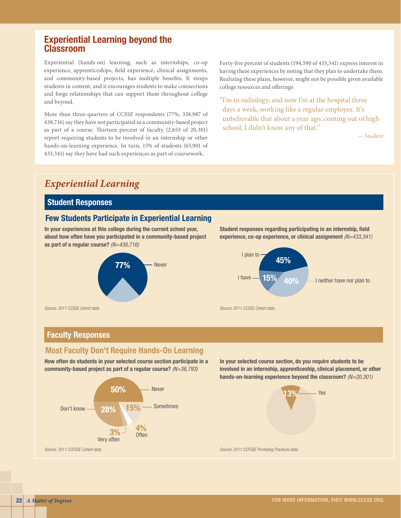# Experiential Learning beyond the Classroom

Experiential (hands-on) learning, such as internships, co-op experience, apprenticeships, field experience, clinical assignments, and community-based projects, has multiple benefits. It steeps students in content, and it encourages students to make connections and forge relationships that can support them throughout college and beyond.

More than three-quarters of *CCSSE* respondents (77%, 338,987 of 438,716) say they have not participated in a community-based project as part of a course. Thirteen percent of faculty (2,653 of 20,301) report requiring students to be involved in an internship or other hands-on-learning experience. In turn, 15% of students (65,901 of 433,341) say they have had such experiences as part of coursework.

Forty-five percent of students (194,590 of 433,341) express interest in having these experiences by noting that they plan to undertake them. Realizing these plans, however, might not be possible given available college resources and offerings.

"I'm in radiology, and now I'm at the hospital three days a week, working like a regular employee. It's unbelievable that about a year ago, coming out of high school, I didn't know any of that."

*— Student*

# *Experiential Learning*

# Student Responses

# Few Students Participate in Experiential Learning

In your experiences at this college during the current school year, about how often have you participated in a community-based project as part of a regular course? *(N=438,716)*







*Source: 2011 CCSSE Cohort data.*

# Faculty Responses

# Most Faculty Don't Require Hands-On Learning

How often do students in your selected course section participate in a community-based project as part of a regular course? *(N=36,793)*



In your selected course section, do you require students to be involved in an internship, apprenticeship, clinical placement, or other hands-on-learning experience beyond the classroom? *(N=20,301)*

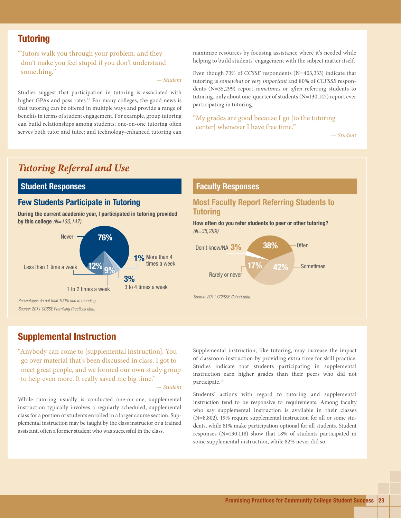# **Tutoring**

"Tutors walk you through your problem, and they don't make you feel stupid if you don't understand something."

*— Student*

Studies suggest that participation in tutoring is associated with higher GPAs and pass rates.<sup>12</sup> For many colleges, the good news is that tutoring can be offered in multiple ways and provide a range of benefits in terms of student engagement. For example, group tutoring can build relationships among students; one-on-one tutoring often serves both tutor and tutee; and technology-enhanced tutoring can maximize resources by focusing assistance where it's needed while helping to build students' engagement with the subject matter itself.

Even though 73% of *CCSSE* respondents (N=403,333) indicate that tutoring is *somewhat* or *very important* and 80% of *CCFSSE* respondents (N=35,299) report *sometimes* or *often* referring students to tutoring, only about one-quarter of students (N=130,147) report ever participating in tutoring.

"My grades are good because I go [to the tutoring center] whenever I have free time."

*— Student*

# *Tutoring Referral and Use*

# Student Responses

During the current academic year, I participated in tutoring provided by this college  $(N=130,147)$  How often do you refer students to peer or other tutoring?



*Source: 2011 CCSSE Promising Practices data.*

#### Faculty Responses

# **Few Students Participate in Tutoring Community Most Faculty Report Referring Students to Tutoring**

*(N=35,299)*



# Supplemental Instruction

"Anybody can come to [supplemental instruction]. You go over material that's been discussed in class. I got to meet great people, and we formed our own study group to help even more. It really saved me big time."

*— Student*

While tutoring usually is conducted one-on-one, supplemental instruction typically involves a regularly scheduled, supplemental class for a portion of students enrolled in a larger course section. Supplemental instruction may be taught by the class instructor or a trained assistant, often a former student who was successful in the class.

Supplemental instruction, like tutoring, may increase the impact of classroom instruction by providing extra time for skill practice. Studies indicate that students participating in supplemental instruction earn higher grades than their peers who did not participate.<sup>13</sup>

Students' actions with regard to tutoring and supplemental instruction tend to be responsive to requirements. Among faculty who say supplemental instruction is available in their classes (N=8,802), 19% require supplemental instruction for all or some students, while 81% make participation optional for all students. Student responses (N=130,118) show that 18% of students participated in some supplemental instruction, while 82% never did so.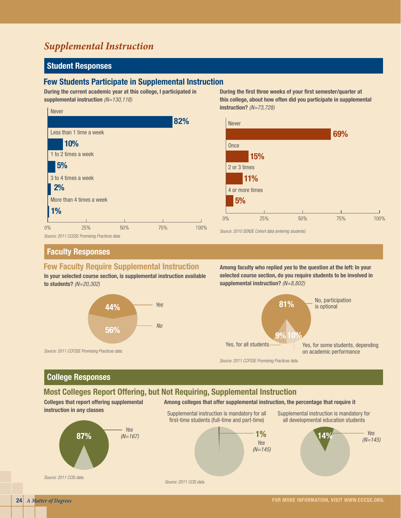# *Supplemental Instruction*

# Student Responses

#### Few Students Participate in Supplemental Instruction

During the current academic year at this college, I participated in supplemental instruction *(N=130,118)*



During the first three weeks of your first semester/quarter at this college, about how often did you participate in supplemental instruction? *(N=73,728)*



#### Faculty Responses

#### Few Faculty Require Supplemental Instruction

In your selected course section, is supplemental instruction available to students? *(N=20,302)*



Among faculty who replied *yes* to the question at the left: In your selected course section, do you require students to be involved in supplemental instruction? *(N=8,802)*



*Source: 2011 CCFSSE Promising Practices data.*

# College Responses

*Source: 2011 CCFSSE Promising Practices data.*

#### Most Colleges Report Offering, but Not Requiring, Supplemental Instruction

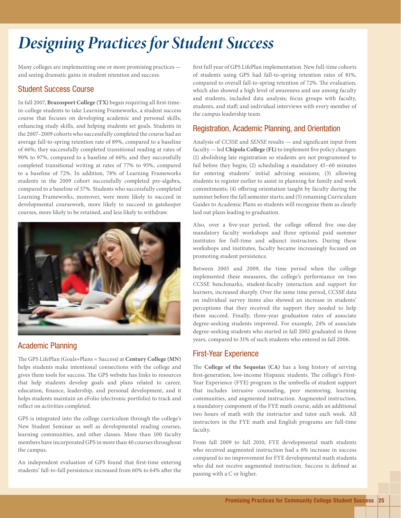# *Designing Practices for Student Success*

Many colleges are implementing one or more promising practices and seeing dramatic gains in student retention and success.

# Student Success Course

In fall 2007, **Brazosport College (TX)** began requiring all first-timein-college students to take Learning Frameworks, a student success course that focuses on developing academic and personal skills, enhancing study skills, and helping students set goals. Students in the 2007–2009 cohorts who successfully completed the course had an average fall-to-spring retention rate of 89%, compared to a baseline of 66%; they successfully completed transitional reading at rates of 90% to 97%, compared to a baseline of 66%; and they successfully completed transitional writing at rates of 77% to 95%, compared to a baseline of 72%. In addition, 78% of Learning Frameworks students in the 2009 cohort successfully completed pre-algebra, compared to a baseline of 57%. Students who successfully completed Learning Frameworks, moreover, were more likely to succeed in developmental coursework, more likely to succeed in gatekeeper courses, more likely to be retained, and less likely to withdraw.



#### Academic Planning

The GPS LifePlan (Goals+Plans = Success) at **Century College (MN)**  helps students make intentional connections with the college and gives them tools for success. The GPS website has links to resources that help students develop goals and plans related to career, education, finance, leadership, and personal development, and it helps students maintain an eFolio (electronic portfolio) to track and reflect on activities completed.

GPS is integrated into the college curriculum through the college's New Student Seminar as well as developmental reading courses, learning communities, and other classes. More than 100 faculty members have incorporated GPS in more than 40 courses throughout the campus.

An independent evaluation of GPS found that first-time entering students' fall-to-fall persistence increased from 60% to 64% after the first full year of GPS LifePlan implementation. New full-time cohorts of students using GPS had fall-to-spring retention rates of 81%, compared to overall fall-to-spring retention of 72%. The evaluation, which also showed a high level of awareness and use among faculty and students, included data analysis; focus groups with faculty, students, and staff; and individual interviews with every member of the campus leadership team.

# Registration, Academic Planning, and Orientation

Analysis of *CCSSE* and *SENSE* results — and significant input from faculty — led **Chipola College (FL)** to implement five policy changes: (1) abolishing late registration so students are not programmed to fail before they begin; (2) scheduling a mandatory 45–60 minutes for entering students' initial advising sessions; (3) allowing students to register earlier to assist in planning for family and work commitments; (4) offering orientation taught by faculty during the summer before the fall semester starts; and (5) renaming Curriculum Guides to Academic Plans so students will recognize them as clearly laid out plans leading to graduation.

Also, over a five-year period, the college offered five one-day mandatory faculty workshops and three optional paid summer institutes for full-time and adjunct instructors. During these workshops and institutes, faculty became increasingly focused on promoting student persistence.

Between 2005 and 2009, the time period when the college implemented these measures, the college's performance on two *CCSSE* benchmarks, student-faculty interaction and support for learners, increased sharply. Over the same time period, *CCSSE* data on individual survey items also showed an increase in students' perceptions that they received the support they needed to help them succeed. Finally, three-year graduation rates of associate degree-seeking students improved. For example, 24% of associate degree-seeking students who started in fall 2002 graduated in three years, compared to 31% of such students who entered in fall 2006.

# First-Year Experience

The **College of the Sequoias (CA)** has a long history of serving first-generation, low-income Hispanic students. The college's First-Year Experience (FYE) program is the umbrella of student support that includes intrusive counseling, peer mentoring, learning communities, and augmented instruction. Augmented instruction, a mandatory component of the FYE math course, adds an additional two hours of math with the instructor and tutor each week. All instructors in the FYE math and English programs are full-time faculty.

From fall 2009 to fall 2010, FYE developmental math students who received augmented instruction had a 6% increase in success compared to no improvement for FYE developmental math students who did not receive augmented instruction. Success is defined as passing with a C or higher.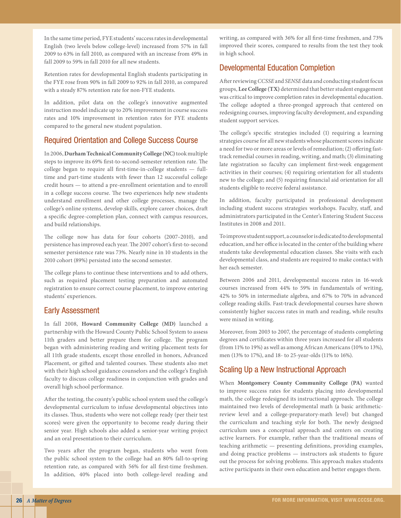In the same time period, FYE students' success rates in developmental English (two levels below college-level) increased from 57% in fall 2009 to 63% in fall 2010, as compared with an increase from 49% in fall 2009 to 59% in fall 2010 for all new students.

Retention rates for developmental English students participating in the FYE rose from 90% in fall 2009 to 92% in fall 2010, as compared with a steady 87% retention rate for non-FYE students.

In addition, pilot data on the college's innovative augmented instruction model indicate up to 20% improvement in course success rates and 10% improvement in retention rates for FYE students compared to the general new student population.

### Required Orientation and College Success Course

In 2006, **Durham Technical Community College (NC)** took multiple steps to improve its 69% first-to-second-semester retention rate. The college began to require all first-time-in-college students — fulltime and part-time students with fewer than 12 successful college credit hours — to attend a pre-enrollment orientation and to enroll in a college success course. The two experiences help new students understand enrollment and other college processes, manage the college's online systems, develop skills, explore career choices, draft a specific degree-completion plan, connect with campus resources, and build relationships.

The college now has data for four cohorts (2007–2010), and persistence has improved each year. The 2007 cohort's first-to-second semester persistence rate was 73%. Nearly nine in 10 students in the 2010 cohort (89%) persisted into the second semester.

The college plans to continue these interventions and to add others, such as required placement testing preparation and automated registration to ensure correct course placement, to improve entering students' experiences.

#### Early Assessment

In fall 2008, **Howard Community College (MD)** launched a partnership with the Howard County Public School System to assess 11th graders and better prepare them for college. The program began with administering reading and writing placement tests for all 11th grade students, except those enrolled in honors, Advanced Placement, or gifted and talented courses. These students also met with their high school guidance counselors and the college's English faculty to discuss college readiness in conjunction with grades and overall high school performance.

After the testing, the county's public school system used the college's developmental curriculum to infuse developmental objectives into its classes. Thus, students who were not college ready (per their test scores) were given the opportunity to become ready during their senior year. High schools also added a senior-year writing project and an oral presentation to their curriculum.

Two years after the program began, students who went from the public school system to the college had an 80% fall-to-spring retention rate, as compared with 56% for all first-time freshmen. In addition, 40% placed into both college-level reading and

writing, as compared with 36% for all first-time freshmen, and 73% improved their scores, compared to results from the test they took in high school.

# Developmental Education Completion

After reviewing *CCSSE* and *SENSE* data and conducting student focus groups, **Lee College (TX)** determined that better student engagement was critical to improve completion rates in developmental education. The college adopted a three-pronged approach that centered on redesigning courses, improving faculty development, and expanding student support services.

The college's specific strategies included (1) requiring a learning strategies course for all new students whose placement scores indicate a need for two or more areas or levels of remediation; (2) offering fasttrack remedial courses in reading, writing, and math; (3) eliminating late registration so faculty can implement first-week engagement activities in their courses; (4) requiring orientation for all students new to the college; and (5) requiring financial aid orientation for all students eligible to receive federal assistance.

In addition, faculty participated in professional development including student success strategies workshops. Faculty, staff, and administrators participated in the Center's Entering Student Success Institutes in 2008 and 2011.

To improve student support, a counselor is dedicated to developmental education, and her office is located in the center of the building where students take developmental education classes. She visits with each developmental class, and students are required to make contact with her each semester.

Between 2006 and 2011, developmental success rates in 16-week courses increased from 44% to 59% in fundamentals of writing, 42% to 50% in intermediate algebra, and 67% to 70% in advanced college reading skills. Fast-track developmental courses have shown consistently higher success rates in math and reading, while results were mixed in writing.

Moreover, from 2003 to 2007, the percentage of students completing degrees and certificates within three years increased for all students (from 11% to 19%) as well as among African Americans (10% to 13%), men (13% to 17%), and 18- to 25-year-olds (11% to 16%).

# Scaling Up a New Instructional Approach

When **Montgomery County Community College (PA)** wanted to improve success rates for students placing into developmental math, the college redesigned its instructional approach. The college maintained two levels of developmental math (a basic arithmeticreview level and a college-preparatory-math level) but changed the curriculum and teaching style for both. The newly designed curriculum uses a conceptual approach and centers on creating active learners. For example, rather than the traditional means of teaching arithmetic — presenting definitions, providing examples, and doing practice problems — instructors ask students to figure out the process for solving problems. This approach makes students active participants in their own education and better engages them.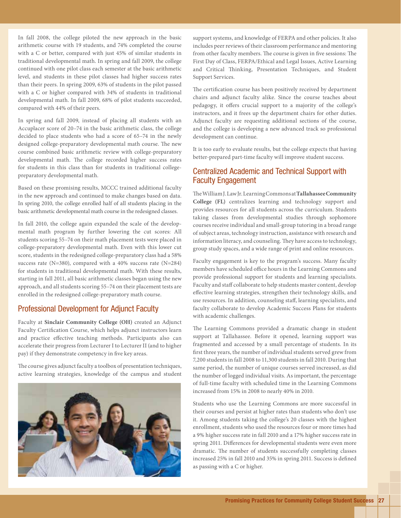In fall 2008, the college piloted the new approach in the basic arithmetic course with 19 students, and 74% completed the course with a C or better, compared with just 45% of similar students in traditional developmental math. In spring and fall 2009, the college continued with one pilot class each semester at the basic arithmetic level, and students in these pilot classes had higher success rates than their peers. In spring 2009, 63% of students in the pilot passed with a C or higher compared with 34% of students in traditional developmental math. In fall 2009, 68% of pilot students succeeded, compared with 44% of their peers.

In spring and fall 2009, instead of placing all students with an Accuplacer score of 20–74 in the basic arithmetic class, the college decided to place students who had a score of 65–74 in the newly designed college-preparatory developmental math course. The new course combined basic arithmetic review with college-preparatory developmental math. The college recorded higher success rates for students in this class than for students in traditional collegepreparatory developmental math.

Based on these promising results, MCCC trained additional faculty in the new approach and continued to make changes based on data. In spring 2010, the college enrolled half of all students placing in the basic arithmetic developmental math course in the redesigned classes.

In fall 2010, the college again expanded the scale of the developmental math program by further lowering the cut scores: All students scoring 55–74 on their math placement tests were placed in college-preparatory developmental math. Even with this lower cut score, students in the redesigned college-preparatory class had a 58% success rate (N=380), compared with a 40% success rate (N=284) for students in traditional developmental math. With these results, starting in fall 2011, all basic arithmetic classes began using the new approach, and all students scoring 55–74 on their placement tests are enrolled in the redesigned college-preparatory math course.

#### Professional Development for Adjunct Faculty

Faculty at **Sinclair Community College (OH)** created an Adjunct Faculty Certification Course, which helps adjunct instructors learn and practice effective teaching methods. Participants also can accelerate their progress from Lecturer I to Lecturer II (and to higher pay) if they demonstrate competency in five key areas.

The course gives adjunct faculty a toolbox of presentation techniques, active learning strategies, knowledge of the campus and student



support systems, and knowledge of FERPA and other policies. It also includes peer reviews of their classroom performance and mentoring from other faculty members. The course is given in five sessions: The First Day of Class, FERPA/Ethical and Legal Issues, Active Learning and Critical Thinking, Presentation Techniques, and Student Support Services.

The certification course has been positively received by department chairs and adjunct faculty alike. Since the course teaches about pedagogy, it offers crucial support to a majority of the college's instructors, and it frees up the department chairs for other duties. Adjunct faculty are requesting additional sections of the course, and the college is developing a new advanced track so professional development can continue.

It is too early to evaluate results, but the college expects that having better-prepared part-time faculty will improve student success.

#### Centralized Academic and Technical Support with Faculty Engagement

The William J. Law Jr. Learning Commons at **Tallahassee Community College (FL)** centralizes learning and technology support and provides resources for all students across the curriculum. Students taking classes from developmental studies through sophomore courses receive individual and small-group tutoring in a broad range of subject areas, technology instruction, assistance with research and information literacy, and counseling. They have access to technology, group study spaces, and a wide range of print and online resources.

Faculty engagement is key to the program's success. Many faculty members have scheduled office hours in the Learning Commons and provide professional support for students and learning specialists. Faculty and staff collaborate to help students master content, develop effective learning strategies, strengthen their technology skills, and use resources. In addition, counseling staff, learning specialists, and faculty collaborate to develop Academic Success Plans for students with academic challenges.

The Learning Commons provided a dramatic change in student support at Tallahassee. Before it opened, learning support was fragmented and accessed by a small percentage of students. In its first three years, the number of individual students served grew from 7,200 students in fall 2008 to 11,300 students in fall 2010. During that same period, the number of unique courses served increased, as did the number of logged individual visits. As important, the percentage of full-time faculty with scheduled time in the Learning Commons increased from 15% in 2008 to nearly 40% in 2010.

Students who use the Learning Commons are more successful in their courses and persist at higher rates than students who don't use it. Among students taking the college's 20 classes with the highest enrollment, students who used the resources four or more times had a 9% higher success rate in fall 2010 and a 17% higher success rate in spring 2011. Differences for developmental students were even more dramatic. The number of students successfully completing classes increased 25% in fall 2010 and 35% in spring 2011. Success is defined as passing with a C or higher.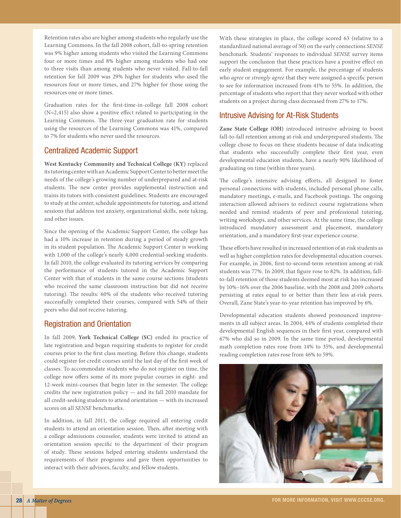Retention rates also are higher among students who regularly use the Learning Commons. In the fall 2008 cohort, fall-to-spring retention was 9% higher among students who visited the Learning Commons four or more times and 8% higher among students who had one to three visits than among students who never visited. Fall-to-fall retention for fall 2009 was 29% higher for students who used the resources four or more times, and 27% higher for those using the resources one or more times.

Graduation rates for the first-time-in-college fall 2008 cohort (N=2,415) also show a positive effect related to participating in the Learning Commons. The three-year graduation rate for students using the resources of the Learning Commons was 41%, compared to 7% for students who never used the resources.

# Centralized Academic Support

**West Kentucky Community and Technical College (KY)** replaced its tutoring center with an Academic Support Center to better meet the needs of the college's growing number of underprepared and at-risk students. The new center provides supplemental instruction and trains its tutors with consistent guidelines. Students are encouraged to study at the center, schedule appointments for tutoring, and attend sessions that address test anxiety, organizational skills, note taking, and other issues.

Since the opening of the Academic Support Center, the college has had a 10% increase in retention during a period of steady growth in its student population. The Academic Support Center is working with 1,000 of the college's nearly 4,000 credential-seeking students. In fall 2010, the college evaluated its tutoring services by comparing the performance of students tutored in the Academic Support Center with that of students in the same course sections (students who received the same classroom instruction but did not receive tutoring). The results: 60% of the students who received tutoring successfully completed their courses, compared with 54% of their peers who did not receive tutoring.

# Registration and Orientation

In fall 2009, **York Technical College (SC)** ended its practice of late registration and began requiring students to register for credit courses prior to the first class meeting. Before this change, students could register for credit courses until the last day of the first week of classes. To accommodate students who do not register on time, the college now offers some of its more popular courses in eight- and 12-week mini-courses that begin later in the semester. The college credits the new registration policy — and its fall 2010 mandate for all credit-seeking students to attend orientation — with its increased scores on all *SENSE* benchmarks.

In addition, in fall 2011, the college required all entering credit students to attend an orientation session. Then, after meeting with a college admissions counselor, students were invited to attend an orientation session specific to the department of their program of study. These sessions helped entering students understand the requirements of their programs and gave them opportunities to interact with their advisors, faculty, and fellow students.

With these strategies in place, the college scored 63 (relative to a standardized national average of 50) on the early connections *SENSE* benchmark. Students' responses to individual *SENSE* survey items support the conclusion that these practices have a positive effect on early student engagement. For example, the percentage of students who *agree* or *strongly agree* that they were assigned a specific person to see for information increased from 41% to 55%. In addition, the percentage of students who report that they never worked with other students on a project during class decreased from 27% to 17%.

# Intrusive Advising for At-Risk Students

**Zane State College (OH)** introduced intrusive advising to boost fall-to-fall retention among at-risk and underprepared students. The college chose to focus on these students because of data indicating that students who successfully complete their first year, even developmental education students, have a nearly 90% likelihood of graduating on time (within three years).

The college's intensive advising efforts, all designed to foster personal connections with students, included personal phone calls, mandatory meetings, e-mails, and Facebook postings. The ongoing interaction allowed advisors to redirect course registrations when needed and remind students of peer and professional tutoring, writing workshops, and other services. At the same time, the college introduced mandatory assessment and placement, mandatory orientation, and a mandatory first-year experience course.

These efforts have resulted in increased retention of at-risk students as well as higher completion rates for developmental education courses. For example, in 2006, first-to-second-term retention among at-risk students was 77%. In 2009, that figure rose to 82%. In addition, fallto-fall retention of those students deemed most at risk has increased by 10%–16% over the 2006 baseline, with the 2008 and 2009 cohorts persisting at rates equal to or better than their less at-risk peers. Overall, Zane State's year-to-year retention has improved by 6%.

Developmental education students showed pronounced improvements in all subject areas. In 2004, 44% of students completed their developmental English sequences in their first year, compared with 67% who did so in 2009. In the same time period, developmental math completion rates rose from 14% to 35%, and developmental reading completion rates rose from 46% to 59%.

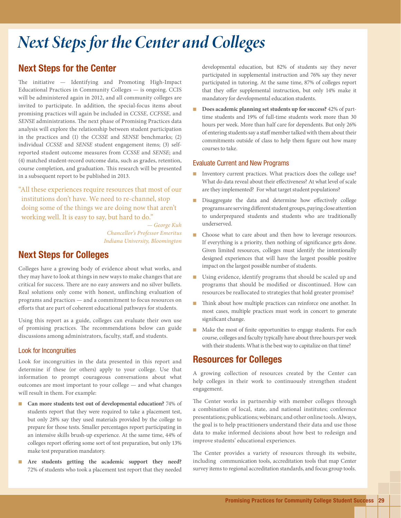# *Next Steps for the Center and Colleges*

# Next Steps for the Center

The initiative — Identifying and Promoting High-Impact Educational Practices in Community Colleges — is ongoing. CCIS will be administered again in 2012, and all community colleges are invited to participate. In addition, the special-focus items about promising practices will again be included in *CCSSE, CCFSSE,* and *SENSE* administrations. The next phase of Promising Practices data analysis will explore the relationship between student participation in the practices and (1) the *CCSSE* and *SENSE* benchmarks; (2) individual *CCSSE* and *SENSE* student engagement items; (3) selfreported student outcome measures from *CCSSE* and *SENSE*; and (4) matched student-record outcome data, such as grades, retention, course completion, and graduation. This research will be presented in a subsequent report to be published in 2013.

"All these experiences require resources that most of our institutions don't have. We need to re-channel, stop doing some of the things we are doing now that aren't working well. It is easy to say, but hard to do."

> *— George Kuh Chancellor's Professor Emeritus Indiana University, Bloomington*

# Next Steps for Colleges

Colleges have a growing body of evidence about what works, and they may have to look at things in new ways to make changes that are critical for success. There are no easy answers and no silver bullets. Real solutions only come with honest, unflinching evaluation of programs and practices — and a commitment to focus resources on efforts that are part of coherent educational pathways for students.

Using this report as a guide, colleges can evaluate their own use of promising practices. The recommendations below can guide discussions among administrators, faculty, staff, and students.

#### Look for Incongruities

Look for incongruities in the data presented in this report and determine if these (or others) apply to your college. Use that information to prompt courageous conversations about what outcomes are most important to your college — and what changes will result in them. For example:

- **Can more students test out of developmental education?** 74% of students report that they were required to take a placement test, but only 28% say they used materials provided by the college to prepare for those tests. Smaller percentages report participating in an intensive skills brush-up experience. At the same time, 44% of colleges report offering some sort of test preparation, but only 13% make test preparation mandatory.
- **Are students getting the academic support they need?** 72% of students who took a placement test report that they needed

developmental education, but 82% of students say they never participated in supplemental instruction and 76% say they never participated in tutoring. At the same time, 87% of colleges report that they offer supplemental instruction, but only 14% make it mandatory for developmental education students.

**Does academic planning set students up for success?** 42% of parttime students and 19% of full-time students work more than 30 hours per week. More than half care for dependents. But only 26% of entering students say a staff member talked with them about their commitments outside of class to help them figure out how many courses to take.

#### Evaluate Current and New Programs

- Inventory current practices. What practices does the college use? What do data reveal about their effectiveness? At what level of scale are they implemented? For what target student populations?
- Disaggregate the data and determine how effectively college programs are serving different student groups, paying close attention to underprepared students and students who are traditionally underserved.
- Choose what to care about and then how to leverage resources. If everything is a priority, then nothing of significance gets done. Given limited resources, colleges must identify the intentionally designed experiences that will have the largest possible positive impact on the largest possible number of students.
- Using evidence, identify programs that should be scaled up and programs that should be modified or discontinued. How can resources be reallocated to strategies that hold greater promise?
- Think about how multiple practices can reinforce one another. In most cases, multiple practices must work in concert to generate significant change.
- Make the most of finite opportunities to engage students. For each course, colleges and faculty typically have about three hours per week with their students. What is the best way to capitalize on that time?

# Resources for Colleges

A growing collection of resources created by the Center can help colleges in their work to continuously strengthen student engagement.

The Center works in partnership with member colleges through a combination of local, state, and national institutes; conference presentations; publications; webinars; and other online tools. Always, the goal is to help practitioners understand their data and use those data to make informed decisions about how best to redesign and improve students' educational experiences.

The Center provides a variety of resources through its website, including communication tools, accreditation tools that map Center survey items to regional accreditation standards, and focus group tools.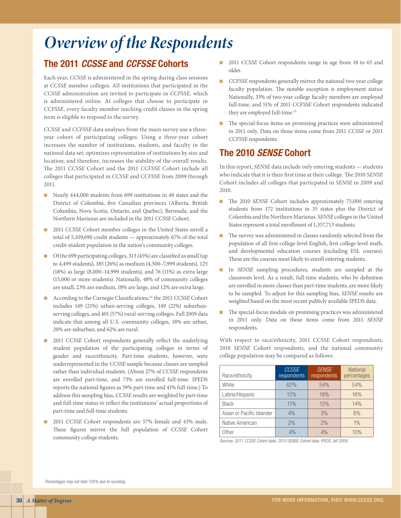# *Overview of the Respondents*

# The 2011 *CCSSE* and *CCFSSE* Cohorts

Each year, *CCSSE* is administered in the spring during class sessions at *CCSSE* member colleges. All institutions that participated in the *CCSSE* administration are invited to participate in *CCFSSE,* which is administered online. At colleges that choose to participate in *CCFSSE,* every faculty member teaching credit classes in the spring term is eligible to respond to the survey.

*CCSSE* and *CCFSSE* data analyses from the main survey use a threeyear cohort of participating colleges. Using a three-year cohort increases the number of institutions, students, and faculty in the national data set; optimizes representation of institutions by size and location; and therefore, increases the stability of the overall results. The 2011 *CCSSE* Cohort and the 2011 *CCFSSE* Cohort include all colleges that participated in *CCSSE* and *CCFSSE* from 2009 through 2011.

- Nearly 444,000 students from 699 institutions in 48 states and the District of Columbia, five Canadian provinces (Alberta, British Columbia, Nova Scotia, Ontario, and Quebec), Bermuda, and the Northern Marianas are included in the 2011 *CCSSE* Cohort.
- 2011 *CCSSE* Cohort member colleges in the United States enroll a total of 5,109,690 credit students — approximately 67% of the total credit-student population in the nation's community colleges.
- Of the 699 participating colleges, 313 (45%) are classified as small (up to 4,499 students), 185 (26%) as medium (4,500–7,999 students), 125 (18%) as large (8,000–14,999 students), and 76 (11%) as extra large (15,000 or more students). Nationally, 48% of community colleges are small, 23% are medium, 18% are large, and 12% are extra large.
- According to the Carnegie Classifications,<sup>14</sup> the 2011 *CCSSE* Cohort includes 149 (21%) urban-serving colleges, 149 (21%) suburbanserving colleges, and 401 (57%) rural-serving colleges. Fall 2009 data indicate that among all U.S. community colleges, 18% are urban, 20% are suburban, and 62% are rural.
- 2011 *CCSSE* Cohort respondents generally reflect the underlying student population of the participating colleges in terms of gender and race/ethnicity. Part-time students, however, were underrepresented in the *CCSSE* sample because classes are sampled rather than individual students. (About 27% of *CCSSE* respondents are enrolled part-time, and 73% are enrolled full-time. IPEDS reports the national figures as 59% part-time and 41% full-time.) To address this sampling bias, *CCSSE* results are weighted by part-time and full-time status to reflect the institutions' actual proportions of part-time and full-time students.
- 2011 *CCSSE* Cohort respondents are 57% female and 43% male. These figures mirror the full population of *CCSSE* Cohort community college students.
- 2011 *CCSSE* Cohort respondents range in age from 18 to 65 and older.
- *CCFSSE* respondents generally mirror the national two-year college faculty population. The notable exception is employment status: Nationally, 33% of two-year college faculty members are employed full-time, and 51% of 2011 *CCFSSE* Cohort respondents indicated they are employed full-time.15
- The special-focus items on promising practices were administered in 2011 only. Data on those items come from 2011 *CCSSE* or 2011 *CCFSSE* respondents.

# The 2010 *SENSE* Cohort

In this report, *SENSE* data include only entering students — students who indicate that it is their first time at their college. The 2010 *SENSE* Cohort includes all colleges that particpated in *SENSE* in 2009 and 2010.

- The 2010 *SENSE* Cohort includes approximately 75,000 entering students from 172 institutions in 35 states plus the District of Columbia and the Northern Marianas. *SENSE* colleges in the United States represent a total enrollment of 1,357,713 students.
- The survey was administered in classes randomly selected from the population of all first college-level English, first college-level math, and developmental education courses (excluding ESL courses). These are the courses most likely to enroll entering students.
- In *SENSE* sampling procedures, students are sampled at the classroom level. As a result, full-time students, who by definition are enrolled in more classes than part-time students, are more likely to be sampled. To adjust for this sampling bias, *SENSE* results are weighted based on the most recent publicly available IPEDS data.
- The special-focus module on promising practices was administered in 2011 only. Data on those items come from 2011 *SENSE* respondents.

With respect to race/ethnicity, 2011 *CCSSE* Cohort respondents, 2010 *SENSE* Cohort respondents, and the national community college population may be compared as follows:

| Race/ethnicity            | <b>CCSSE</b><br>respondents | <b>SENSE</b><br>respondents | <b>National</b><br>percentages |
|---------------------------|-----------------------------|-----------------------------|--------------------------------|
| White                     | 62%                         | 54%                         | 54%                            |
| Latino/Hispanic           | 12%                         | 18%                         | 16%                            |
| <b>Black</b>              | 11%                         | 15%                         | 14%                            |
| Asian or Pacific Islander | 4%                          | 3%                          | 6%                             |
| Native American           | 2%                          | 2%                          | $1\%$                          |
| Other                     | 4%                          | 4%                          | 10%                            |

*Sources: 2011 CCSSE Cohort data; 2010 SENSE Cohort data; IPEDS, fall 2009.*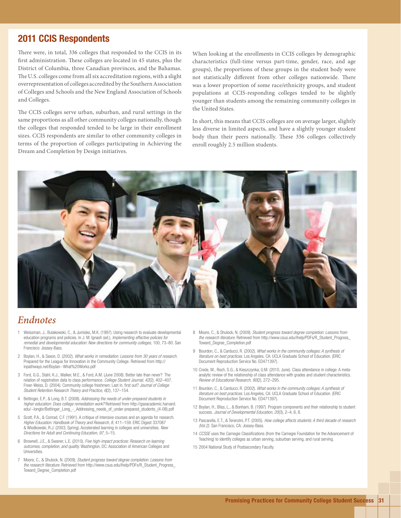# 2011 CCIS Respondents

There were, in total, 336 colleges that responded to the CCIS in its first administration. These colleges are located in 45 states, plus the District of Columbia, three Canadian provinces, and the Bahamas. The U.S. colleges come from all six accreditation regions, with a slight overrepresentation of colleges accredited by the Southern Association of Colleges and Schools and the New England Association of Schools and Colleges.

The CCIS colleges serve urban, suburban, and rural settings in the same proportions as all other community colleges nationally, though the colleges that responded tended to be large in their enrollment sizes. CCIS respondents are similar to other community colleges in terms of the proportion of colleges participating in Achieving the Dream and Completion by Design initiatives.

When looking at the enrollments in CCIS colleges by demographic characteristics (full-time versus part-time, gender, race, and age groups), the proportions of these groups in the student body were not statistically different from other colleges nationwide. There was a lower proportion of some race/ethnicity groups, and student populations at CCIS-responding colleges tended to be slightly younger than students among the remaining community colleges in the United States.

In short, this means that CCIS colleges are on average larger, slightly less diverse in limited aspects, and have a slightly younger student body than their peers nationally. These 336 colleges collectively enroll roughly 2.5 million students.



# *Endnotes*

- 1 Weissman, J., Bulakowski, C., & Jumisko, M.K. (1997). Using research to evaluate developmental education programs and policies. In J. M. Ignash (ed.), *Implementing effective policies for remedial and developmental education: New directions for community colleges,* 100, 73–80. San Francisco: Jossey-Bass.
- 2 Boylan, H., & Saxon, D. (2002). *What works in remediation: Lessons from 30 years of research.*  Prepared for the League for Innovation in the Community College. Retrieved from http:// inpathways.net/Boylan--What%20Works.pdf
- 3 Ford, G.G., Stahl, K.J., Walker, M.E., & Ford, A.M. (June 2008). Better late than never? The relation of registration data to class performance. *College Student Journal, 42*(2), 402–407. Freer-Weiss, D. (2004). Community college freshmen: Last in, first out? *Journal of College Student Retention Research Theory and Practice, 6*(2), 137–154.
- 4 Bettinger, E.P., & Long, B.T. (2008). *Addressing the needs of under-prepared students in higher education: Does college remediation work?* Retrieved from http://gseacademic.harvard. edu/~longbr/Bettinger\_Long - Addressing\_needs\_of\_under-prepared\_students\_(4-08).pdf
- 5 Scott, P.A., & Conrad, C.F. (1991). A critique of intensive courses and an agenda for research. *Higher Education: Handbook of Theory and Research, 8,* 411–159. ERIC Digest 337087 & Wlodkowski, R.J. (2003, Spring). Accelerated learning in colleges and universities. *New Directions for Adult and Continuing Education, 97,* 5–15.
- 6 Brownell, J.E., & Swaner, L.E. (2010). *Five high-impact practices: Research on learning outcomes, completion, and quality.* Washington, DC: Association of American Colleges and **Universities**
- 7 Moore, C., & Shulock, N. (2009). *Student progress toward degree completion: Lessons from the research literature.* Retrieved from http://www.csus.edu/ihelp/PDFs/R\_Student\_Progress\_ Toward\_Degree\_Completion.pdf
- 8 Moore, C., & Shulock, N. (2009). *Student progress toward degree completion: Lessons from the research literature.* Retrieved from http://www.csus.edu/ihelp/PDFs/R\_Student\_Progress\_ Toward\_Degree\_Completion.pdf
- 9 Bourdon, C., & Carducci, R. (2002). *What works in the community colleges: A synthesis of literature on best practices.* Los Angeles, CA: UCLA Graduate School of Education. (ERIC Document Reproduction Service No. ED471397).
- 10 Crede, M., Roch, S.G., & Kieszczynka, U.M. (2010, June). Class attendance in college: A metaanalytic review of the relationship of class attendance with grades and student characteristics. *Review of Educational Research, 80*(2), 272–295.
- 11 Bourdon, C., & Carducci, R. (2002). *What works in the community colleges: A synthesis of literature on best practices.* Los Angeles, CA: UCLA Graduate School of Education. (ERIC Document Reproduction Service No. ED471397).
- 12 Boylan, H., Bliss, L., & Bonham, B. (1997). Program components and their relationship to student success. *Journal of Developmental Education, 20*(3), 2–4, 6, 8.
- 13 Pascarella, E.T., & Terenzini, P.T. (2005). *How college affects students: A third decade of research (Vol.2).* San Francisco, CA: Jossey-Bass.
- 14 *CCSSE* uses the Carnegie Classifications (from the Carnegie Foundation for the Advancement of Teaching) to identify colleges as urban serving, suburban serving, and rural serving.
- 15 2004 National Study of Postsecondary Faculty.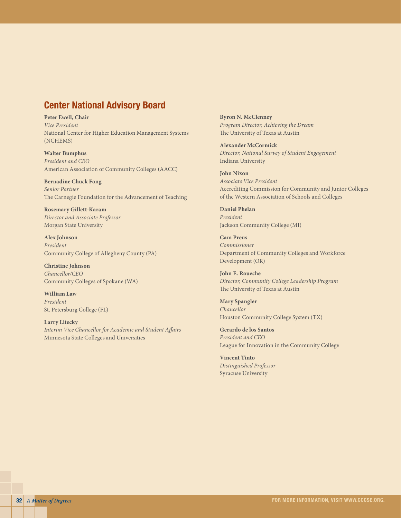# Center National Advisory Board

**Peter Ewell, Chair** *Vice President* National Center for Higher Education Management Systems (NCHEMS)

**Walter Bumphus** *President and CEO* American Association of Community Colleges (AACC)

**Bernadine Chuck Fong** *Senior Partner*  The Carnegie Foundation for the Advancement of Teaching

**Rosemary Gillett-Karam** *Director and Associate Professor* Morgan State University

**Alex Johnson** *President* Community College of Allegheny County (PA)

**Christine Johnson** *Chancellor/CEO* Community Colleges of Spokane (WA)

**William Law** *President* St. Petersburg College (FL)

**Larry Litecky** *Interim Vice Chancellor for Academic and Student Affairs* Minnesota State Colleges and Universities

**Byron N. McClenney** *Program Director, Achieving the Dream* The University of Texas at Austin

**Alexander McCormick** *Director, National Survey of Student Engagement* Indiana University

**John Nixon** *Associate Vice President* Accrediting Commission for Community and Junior Colleges of the Western Association of Schools and Colleges

**Daniel Phelan** *President* Jackson Community College (MI)

**Cam Preus** *Commissioner* Department of Community Colleges and Workforce Development (OR)

**John E. Roueche** *Director, Community College Leadership Program* The University of Texas at Austin

**Mary Spangler** *Chancellor* Houston Community College System (TX)

**Gerardo de los Santos** *President and CEO* League for Innovation in the Community College

**Vincent Tinto** *Distinguished Professor* Syracuse University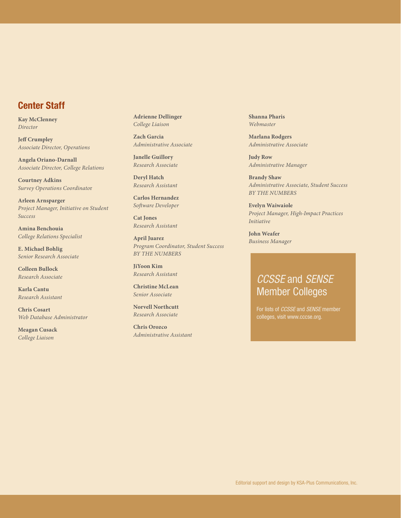# Center Staff

**Kay McClenney** *Director*

**Jeff Crumpley** *Associate Director, Operations*

**Angela Oriano-Darnall** *Associate Director, College Relations*

**Courtney Adkins** *Survey Operations Coordinato*r

**Arleen Arnsparger** *Project Manager, Initiative on Student Success*

**Amina Benchouia** *College Relations Specialist*

**E. Michael Bohlig** *Senior Research Associate*

**Colleen Bullock** *Research Associate*

**Karla Cantu** *Research Assistant*

**Chris Cosart** *Web Database Administrator* 

**Meagan Cusack** *College Liaison*

**Adrienne Dellinger** *College Liaison*

**Zach Garcia** *Administrative Associate*

**Janelle Guillory** *Research Associate*

**Deryl Hatch** *Research Assistant*

**Carlos Hernandez** *Software Developer*

**Cat Jones** *Research Assistant*

**April Juarez** *Program Coordinator, Student Success BY THE NUMBERS* 

**JiYoon Kim** *Research Assistant*

**Christine McLean** *Senior Associate* 

**Norvell Northcutt** *Research Associate*

**Chris Orozco** *Administrative Assistant* **Shanna Pharis** *Webmaster*

**Marlana Rodgers** *Administrative Associate*

**Judy Row** *Administrative Manager*

**Brandy Shaw** *Administrative Associate, Student Success BY THE NUMBERS* 

**Evelyn Waiwaiole** *Project Manager, High-Impact Practices Initiative*

**John Weafer** *Business Manager*

# *CCSSE* and *SENSE* Member Colleges

For lists of *CCSSE* and *SENSE* member colleges, visit www.cccse.org.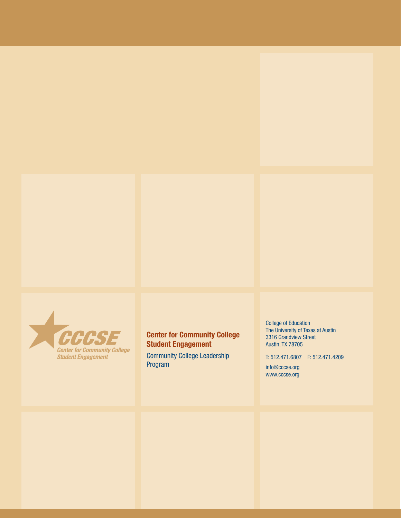

# Center for Community College Student Engagement

Community College Leadership Program

College of Education The University of Texas at Austin 3316 Grandview Street Austin, TX 78705

T: 512.471.6807 F: 512.471.4209

info@cccse.org www.cccse.org